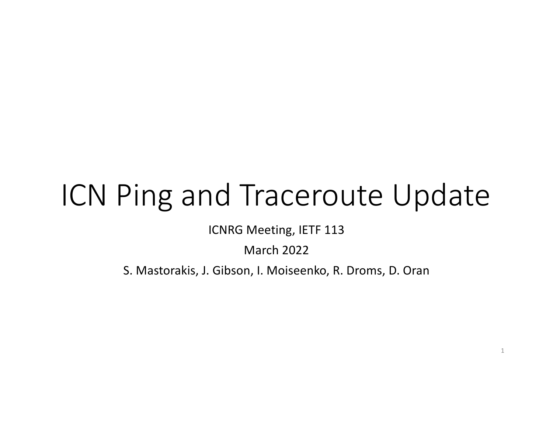# ICN Ping and Traceroute Update

ICNRG Meeting, IETF 113

March 2022

S. Mastorakis, J. Gibson, I. Moiseenko, R. Droms, D. Oran

1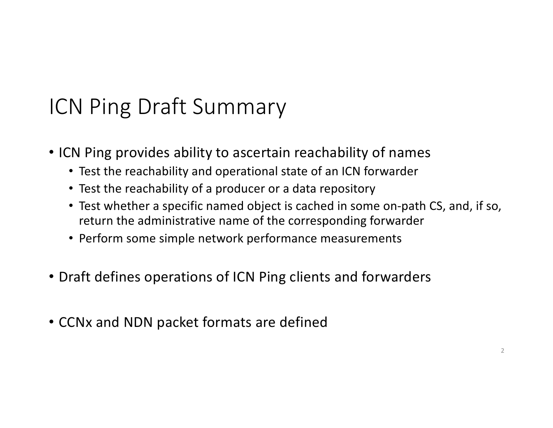# ICN Ping Draft Summary

- ICN Ping provides ability to ascertain reachability of names
	- Test the reachability and operational state of an ICN forwarder
	- Test the reachability of a producer or a data repository
	- Test whether a specific named object is cached in some on-path CS, and, if so, return the administrative name of the corresponding forwarder
	- Perform some simple network performance measurements
- Draft defines operations of ICN Ping clients and forwarders
- CCNx and NDN packet formats are defined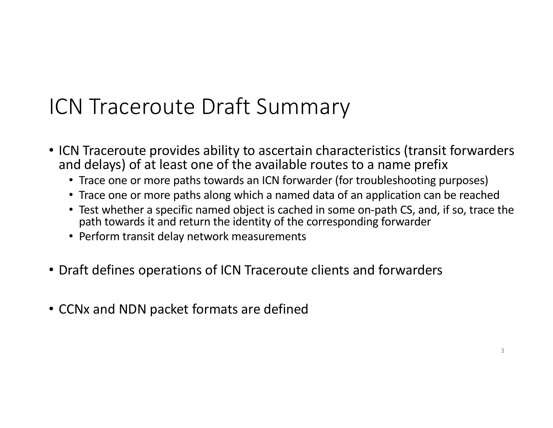## ICN Traceroute Draft Summary

- ICN Traceroute provides ability to ascertain characteristics (transit forwarders and delays) of at least one of the available routes to a name prefix
	- Trace one or more paths towards an ICN forwarder (for troubleshooting purposes)
	- Trace one or more paths along which a named data of an application can be reached
	- Test whether a specific named object is cached in some on-path CS, and, if so, trace the path towards it and return the identity of the corresponding forwarder
	- Perform transit delay network measurements
- Draft defines operations of ICN Traceroute clients and forwarders
- CCNx and NDN packet formats are defined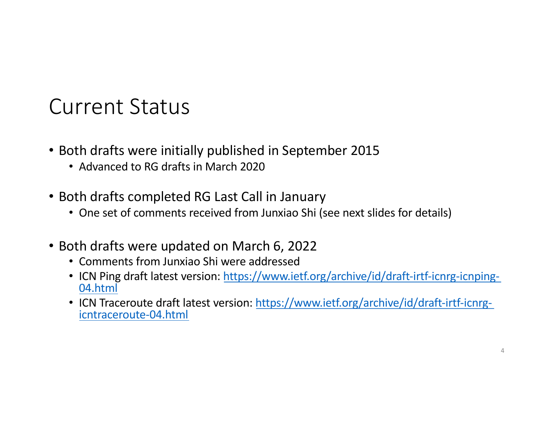#### Current Status

- Both drafts were initially published in September 2015
	- Advanced to RG drafts in March 2020
- Both drafts completed RG Last Call in January
	- One set of comments received from Junxiao Shi (see next slides for details)
- Both drafts were updated on March 6, 2022
	- Comments from Junxiao Shi were addressed
	- [ICN Ping draft latest version: https://www.ietf.org/archive/id/draft-irtf-icnrg-icnping](https://www.ietf.org/archive/id/draft-irtf-icnrg-icnping-04.html) 04.html
	- [ICN Traceroute draft latest version: https://www.ietf.org/archive/id/draft-irtf-icnrg](https://www.ietf.org/archive/id/draft-irtf-icnrg-icntraceroute-04.html) icntraceroute-04.html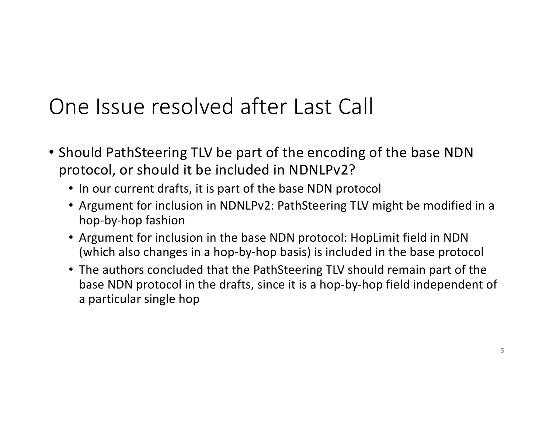### One Issue resolved after Last Call

- Should PathSteering TLV be part of the encoding of the base NDN protocol, or should it be included in NDNLPv2?
	- In our current drafts, it is part of the base NDN protocol
	- Argument for inclusion in NDNLPv2: PathSteering TLV might be modified in a hop-by-hop fashion
	- Argument for inclusion in the base NDN protocol: HopLimit field in NDN (which also changes in a hop-by-hop basis) is included in the base protocol
	- The authors concluded that the PathSteering TLV should remain part of the base NDN protocol in the drafts, since it is a hop-by-hop field independent of a particular single hop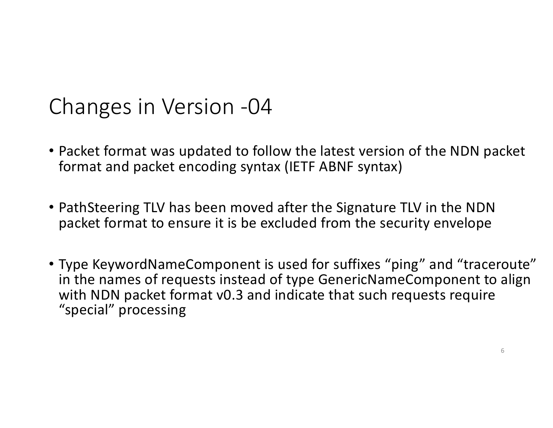#### Changes in Version -04

- Packet format was updated to follow the latest version of the NDN packet format and packet encoding syntax (IETF ABNF syntax)
- PathSteering TLV has been moved after the Signature TLV in the NDN packet format to ensure it is be excluded from the security envelope
- Type KeywordNameComponent is used for suffixes "ping" and "traceroute" in the names of requests instead of type GenericNameComponent to align with NDN packet format v0.3 and indicate that such requests require "special" processing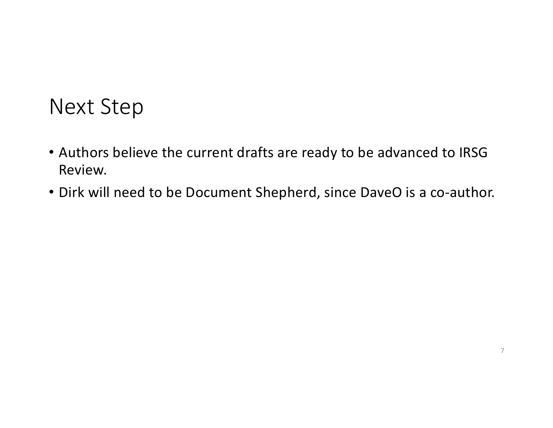#### Next Step

- Authors believe the current drafts are ready to be advanced to IRSG Review.
- Dirk will need to be Document Shepherd, since DaveO is a co-author.